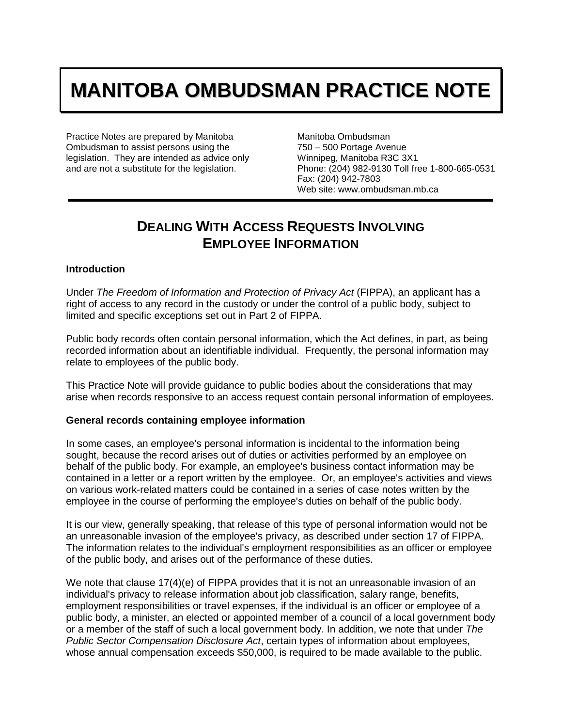# **MANITOBA OMBUDSMAN PRACTICE NOTE**

Practice Notes are prepared by Manitoba Ombudsman to assist persons using the legislation. They are intended as advice only and are not a substitute for the legislation.

Manitoba Ombudsman 750 – 500 Portage Avenue Winnipeg, Manitoba R3C 3X1 Phone: (204) 982-9130 Toll free 1-800-665-0531 Fax: (204) 942-7803 Web site: www.ombudsman.mb.ca

## **DEALING WITH ACCESS REQUESTS INVOLVING EMPLOYEE INFORMATION**

#### **Introduction**

Under *The Freedom of Information and Protection of Privacy Act* (FIPPA), an applicant has a right of access to any record in the custody or under the control of a public body, subject to limited and specific exceptions set out in Part 2 of FIPPA.

Public body records often contain personal information, which the Act defines, in part, as being recorded information about an identifiable individual. Frequently, the personal information may relate to employees of the public body.

This Practice Note will provide guidance to public bodies about the considerations that may arise when records responsive to an access request contain personal information of employees.

#### **General records containing employee information**

In some cases, an employee's personal information is incidental to the information being sought, because the record arises out of duties or activities performed by an employee on behalf of the public body. For example, an employee's business contact information may be contained in a letter or a report written by the employee. Or, an employee's activities and views on various work-related matters could be contained in a series of case notes written by the employee in the course of performing the employee's duties on behalf of the public body.

It is our view, generally speaking, that release of this type of personal information would not be an unreasonable invasion of the employee's privacy, as described under section 17 of FIPPA. The information relates to the individual's employment responsibilities as an officer or employee of the public body, and arises out of the performance of these duties.

We note that clause 17(4)(e) of FIPPA provides that it is not an unreasonable invasion of an individual's privacy to release information about job classification, salary range, benefits, employment responsibilities or travel expenses, if the individual is an officer or employee of a public body, a minister, an elected or appointed member of a council of a local government body or a member of the staff of such a local government body. In addition, we note that under *The Public Sector Compensation Disclosure Act*, certain types of information about employees, whose annual compensation exceeds \$50,000, is required to be made available to the public.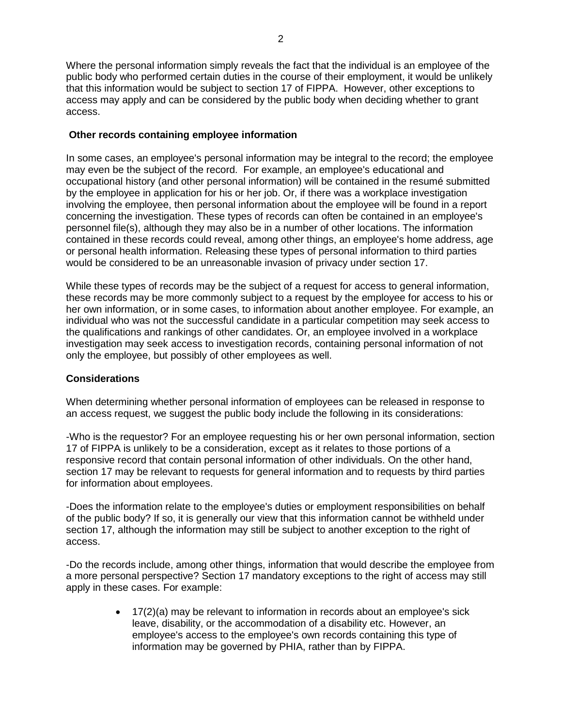Where the personal information simply reveals the fact that the individual is an employee of the public body who performed certain duties in the course of their employment, it would be unlikely that this information would be subject to section 17 of FIPPA. However, other exceptions to access may apply and can be considered by the public body when deciding whether to grant access.

#### **Other records containing employee information**

In some cases, an employee's personal information may be integral to the record; the employee may even be the subject of the record. For example, an employee's educational and occupational history (and other personal information) will be contained in the resumé submitted by the employee in application for his or her job. Or, if there was a workplace investigation involving the employee, then personal information about the employee will be found in a report concerning the investigation. These types of records can often be contained in an employee's personnel file(s), although they may also be in a number of other locations. The information contained in these records could reveal, among other things, an employee's home address, age or personal health information. Releasing these types of personal information to third parties would be considered to be an unreasonable invasion of privacy under section 17.

While these types of records may be the subject of a request for access to general information, these records may be more commonly subject to a request by the employee for access to his or her own information, or in some cases, to information about another employee. For example, an individual who was not the successful candidate in a particular competition may seek access to the qualifications and rankings of other candidates. Or, an employee involved in a workplace investigation may seek access to investigation records, containing personal information of not only the employee, but possibly of other employees as well.

### **Considerations**

When determining whether personal information of employees can be released in response to an access request, we suggest the public body include the following in its considerations:

-Who is the requestor? For an employee requesting his or her own personal information, section 17 of FIPPA is unlikely to be a consideration, except as it relates to those portions of a responsive record that contain personal information of other individuals. On the other hand, section 17 may be relevant to requests for general information and to requests by third parties for information about employees.

-Does the information relate to the employee's duties or employment responsibilities on behalf of the public body? If so, it is generally our view that this information cannot be withheld under section 17, although the information may still be subject to another exception to the right of access.

-Do the records include, among other things, information that would describe the employee from a more personal perspective? Section 17 mandatory exceptions to the right of access may still apply in these cases. For example:

> • 17(2)(a) may be relevant to information in records about an employee's sick leave, disability, or the accommodation of a disability etc. However, an employee's access to the employee's own records containing this type of information may be governed by PHIA, rather than by FIPPA.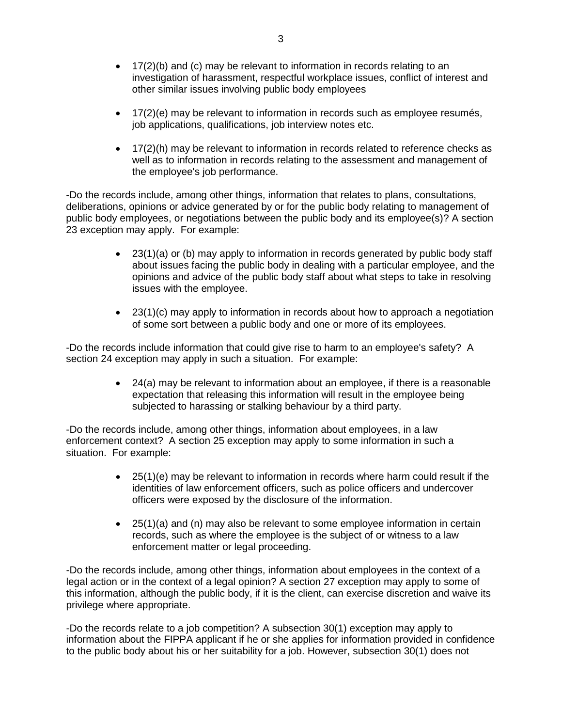- 17(2)(b) and (c) may be relevant to information in records relating to an investigation of harassment, respectful workplace issues, conflict of interest and other similar issues involving public body employees
- 17(2)(e) may be relevant to information in records such as employee resumés, job applications, qualifications, job interview notes etc.
- 17(2)(h) may be relevant to information in records related to reference checks as well as to information in records relating to the assessment and management of the employee's job performance.

-Do the records include, among other things, information that relates to plans, consultations, deliberations, opinions or advice generated by or for the public body relating to management of public body employees, or negotiations between the public body and its employee(s)? A section 23 exception may apply. For example:

- 23(1)(a) or (b) may apply to information in records generated by public body staff about issues facing the public body in dealing with a particular employee, and the opinions and advice of the public body staff about what steps to take in resolving issues with the employee.
- $\bullet$  23(1)(c) may apply to information in records about how to approach a negotiation of some sort between a public body and one or more of its employees.

-Do the records include information that could give rise to harm to an employee's safety? A section 24 exception may apply in such a situation. For example:

> • 24(a) may be relevant to information about an employee, if there is a reasonable expectation that releasing this information will result in the employee being subjected to harassing or stalking behaviour by a third party.

-Do the records include, among other things, information about employees, in a law enforcement context? A section 25 exception may apply to some information in such a situation. For example:

- 25(1)(e) may be relevant to information in records where harm could result if the identities of law enforcement officers, such as police officers and undercover officers were exposed by the disclosure of the information.
- 25(1)(a) and (n) may also be relevant to some employee information in certain records, such as where the employee is the subject of or witness to a law enforcement matter or legal proceeding.

-Do the records include, among other things, information about employees in the context of a legal action or in the context of a legal opinion? A section 27 exception may apply to some of this information, although the public body, if it is the client, can exercise discretion and waive its privilege where appropriate.

-Do the records relate to a job competition? A subsection 30(1) exception may apply to information about the FIPPA applicant if he or she applies for information provided in confidence to the public body about his or her suitability for a job. However, subsection 30(1) does not